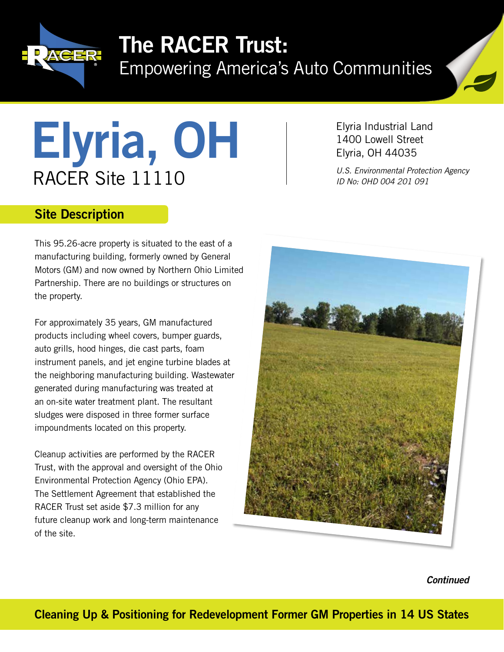

## The RACER Trust:

Empowering America's Auto Communities

# Elyria, OH RACER Site 11110

Elyria Industrial Land 1400 Lowell Street Elyria, OH 44035

*U.S. Environmental Protection Agency ID No: OHD 004 201 091*

### Site Description

This 95.26-acre property is situated to the east of a manufacturing building, formerly owned by General Motors (GM) and now owned by Northern Ohio Limited Partnership. There are no buildings or structures on the property.

For approximately 35 years, GM manufactured products including wheel covers, bumper guards, auto grills, hood hinges, die cast parts, foam instrument panels, and jet engine turbine blades at the neighboring manufacturing building. Wastewater generated during manufacturing was treated at an on-site water treatment plant. The resultant sludges were disposed in three former surface impoundments located on this property.

Cleanup activities are performed by the RACER Trust, with the approval and oversight of the Ohio Environmental Protection Agency (Ohio EPA). The Settlement Agreement that established the RACER Trust set aside \$7.3 million for any future cleanup work and long-term maintenance of the site.



*Continued*